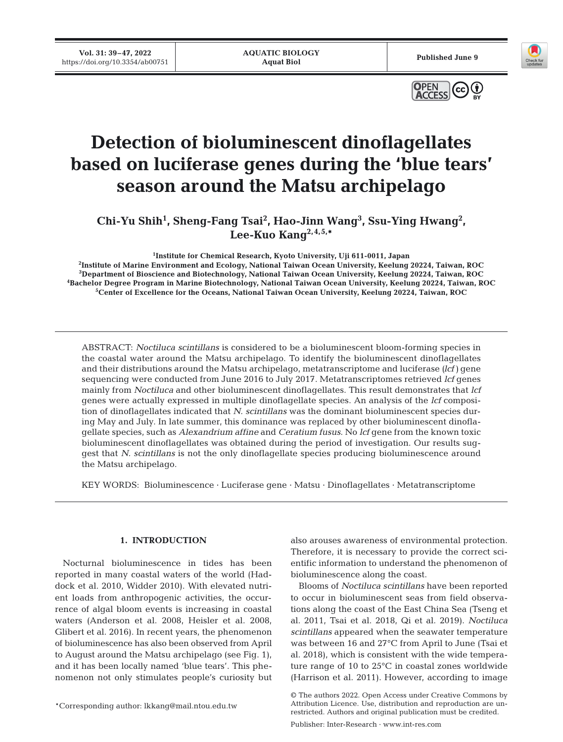**Vol. 31: 39–47, 2022 10.31:39-47, 2022**<br>https://doi.org/10.3354/ab00751 **Published June 9**<br>**Published June 9** 





# **Detection of bioluminescent dinoflagellates based on luciferase genes during the 'blue tears' season around the Matsu archipelago**

Chi-Yu Shih<sup>1</sup>, Sheng-Fang Tsai<sup>2</sup>, Hao-Jinn Wang<sup>3</sup>, Ssu-Ying Hwang<sup>2</sup>, **Lee-Kuo Kang2,4,5,\***

<sup>1</sup>Institute for Chemical Research, Kyoto University, Uji 611-0011, Japan

**Institute for Chemical Research, Kyoto University, Uji 611-0011, Japan 2 Institute of Marine Environment and Ecology, National Taiwan Ocean University, Keelung 20224, Taiwan, ROC**  <sup>3</sup>Department of Bioscience and Biotechnology, National Taiwan Ocean University, Keelung 20224, Taiwan, ROC **Department of Bioscience and Biotechnology, National Taiwan Ocean University, Keelung 20224, Taiwan, ROC 4 Bachelor Degree Program in Marine Biotechnology, National Taiwan Ocean University, Keelung 20224, Taiwan, ROC 5 Center of Excellence for the Oceans, National Taiwan Ocean University, Keelung 20224, Taiwan, ROC**

ABSTRACT: *Noctiluca scintillans* is considered to be a bioluminescent bloom-forming species in the coastal water around the Matsu archipelago. To identify the bioluminescent dinoflagellates and their distributions around the Matsu archipelago, metatranscriptome and luciferase *(lcf)* gene sequencing were conducted from June 2016 to July 2017. Metatranscriptomes retrieved *lcf* genes mainly from *Noctiluca* and other bioluminescent dinoflagellates. This result demonstrates that *lcf* genes were actually expressed in multiple dinoflagellate species. An analysis of the *lcf* composition of dinoflagellates indicated that *N. scintillans* was the dominant bioluminescent species during May and July. In late summer, this dominance was replaced by other bioluminescent dinoflagellate species, such as *Alexandrium affine* and *Ceratium fusus*. No *lcf* gene from the known toxic bioluminescent dinoflagellates was obtained during the period of investigation. Our results suggest that *N. scintillans* is not the only dinoflagellate species producing bioluminescence around the Matsu archipelago.

KEY WORDS: Bioluminescence · Luciferase gene · Matsu · Dinoflagellates · Metatranscriptome

# **1. INTRODUCTION**

Nocturnal bioluminescence in tides has been reported in many coastal waters of the world (Haddock et al. 2010, Widder 2010). With elevated nutrient loads from anthropogenic activities, the occurrence of algal bloom events is increasing in coastal waters (Anderson et al. 2008, Heisler et al. 2008, Glibert et al. 2016). In recent years, the phenomenon of bioluminescence has also been observed from April to August around the Matsu archipelago (see Fig. 1), and it has been locally named 'blue tears'. This phenomenon not only stimulates people's curiosity but

also arouses awareness of environmental protection. Therefore, it is necessary to provide the correct scientific information to understand the phenomenon of bioluminescence along the coast.

Blooms of *Noctiluca scintillans* have been reported to occur in bioluminescent seas from field observations along the coast of the East China Sea (Tseng et al. 2011, Tsai et al. 2018, Qi et al. 2019). *Noctiluca scintillans* appeared when the seawater temperature was between 16 and 27°C from April to June (Tsai et al. 2018), which is consistent with the wide temperature range of 10 to 25°C in coastal zones worldwide (Harrison et al. 2011). However, according to image

Publisher: Inter-Research · www.int-res.com

<sup>©</sup> The authors 2022. Open Access under Creative Commons by Attribution Licence. Use, distribution and reproduction are unrestricted. Authors and original publication must be credited.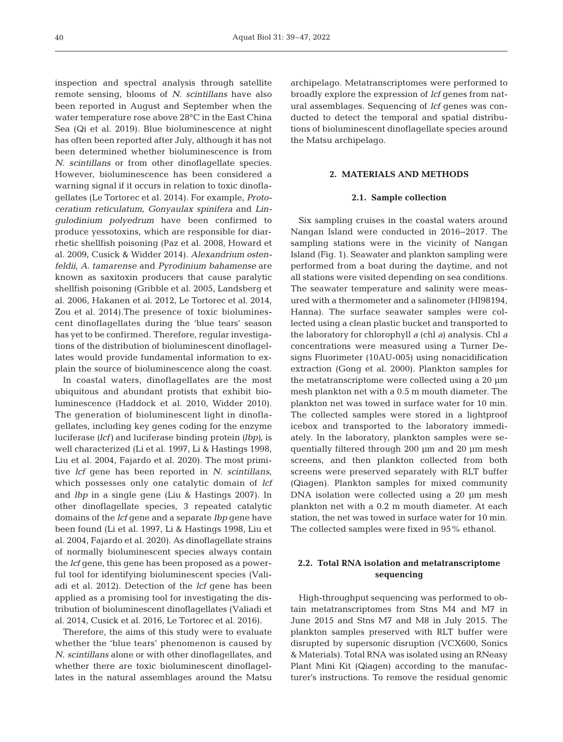inspection and spectral analysis through satellite remote sensing, blooms of *N. scintillans* have also been reported in August and September when the water temperature rose above 28°C in the East China Sea (Qi et al. 2019). Blue bioluminescence at night has often been reported after July, although it has not been determined whether bioluminescence is from *N. scintillans* or from other dinoflagellate species. However, bioluminescence has been considered a warning signal if it occurs in relation to toxic dinoflagellates (Le Tortorec et al. 2014). For example, *Protoceratium reticulatum*, *Gonyaulax spinifera* and *Lingulodinium polyedrum* have been confirmed to produce yessotoxins, which are responsible for diarrhetic shellfish poisoning (Paz et al. 2008, Howard et al. 2009, Cusick & Widder 2014). *Alexandrium ostenfeldii, A. tamarense* and *Pyrodinium bahamense* are known as saxitoxin producers that cause paralytic shellfish poisoning (Gribble et al. 2005, Landsberg et al. 2006, Hakanen et al. 2012, Le Tortorec et al. 2014, Zou et al. 2014).The presence of toxic bioluminescent dinoflagellates during the 'blue tears' season has yet to be confirmed. Therefore, regular investigations of the distribution of bioluminescent dinoflagellates would provide fundamental information to explain the source of bioluminescence along the coast.

In coastal waters, dinoflagellates are the most ubiquitous and abundant protists that exhibit bioluminescence (Haddock et al. 2010, Widder 2010). The generation of bioluminescent light in dinoflagellates, including key genes coding for the enzyme luciferase *(lcf)* and luciferase binding protein *(lbp)*, is well characterized (Li et al. 1997, Li & Hastings 1998, Liu et al. 2004, Fajardo et al. 2020). The most primitive *lcf* gene has been reported in *N. scintillans*, which possesses only one catalytic domain of *lcf* and *lbp* in a single gene (Liu & Hastings 2007). In other dinoflagellate species, 3 repeated catalytic domains of the *lcf* gene and a separate *lbp* gene have been found (Li et al. 1997, Li & Hastings 1998, Liu et al. 2004, Fajardo et al. 2020). As dinoflagellate strains of normally bioluminescent species always contain the *lcf* gene, this gene has been proposed as a power ful tool for identifying bioluminescent species (Valiadi et al. 2012). Detection of the *lcf* gene has been applied as a promising tool for investigating the distribution of bioluminescent dinoflagellates (Valiadi et al. 2014, Cusick et al. 2016, Le Tortorec et al. 2016).

Therefore, the aims of this study were to evaluate whether the 'blue tears' phenomenon is caused by *N. scintillans* alone or with other dinoflagellates, and whether there are toxic bioluminescent dinoflagellates in the natural assemblages around the Matsu

archipelago. Metatranscriptomes were performed to broadly explore the expression of *lcf* genes from natural assemblages. Sequencing of *lcf* genes was conducted to detect the temporal and spatial distributions of bioluminescent dinoflagellate species around the Matsu archipelago.

# **2. MATERIALS AND METHODS**

### **2.1. Sample collection**

Six sampling cruises in the coastal waters around Nangan Island were conducted in 2016−2017. The sampling stations were in the vicinity of Nangan Island (Fig. 1). Seawater and plankton sampling were performed from a boat during the daytime, and not all stations were visited depending on sea conditions. The seawater temperature and salinity were measured with a thermometer and a salinometer (HI98194, Hanna). The surface seawater samples were collected using a clean plastic bucket and transported to the laboratory for chlorophyll *a* (chl *a*) analysis. Chl *a* concentrations were measured using a Turner Designs Fluorimeter (10AU-005) using nonacidification extraction (Gong et al. 2000). Plankton samples for the metatranscriptome were collected using a 20 μm mesh plankton net with a 0.5 m mouth diameter. The plankton net was towed in surface water for 10 min. The collected samples were stored in a lightproof icebox and transported to the laboratory immediately. In the laboratory, plankton samples were sequentially filtered through 200 μm and 20 μm mesh screens, and then plankton collected from both screens were preserved separately with RLT buffer (Qiagen). Plankton samples for mixed community DNA isolation were collected using a 20 μm mesh plankton net with a 0.2 m mouth diameter. At each station, the net was towed in surface water for 10 min. The collected samples were fixed in 95% ethanol.

# **2.2. Total RNA isolation and metatranscriptome sequencing**

High-throughput sequencing was performed to obtain metatranscriptomes from Stns M4 and M7 in June 2015 and Stns M7 and M8 in July 2015. The plankton samples preserved with RLT buffer were disrupted by supersonic disruption (VCX600, Sonics & Materials). Total RNA was isolated using an RNeasy Plant Mini Kit (Qiagen) according to the manufacturer's instructions. To remove the residual genomic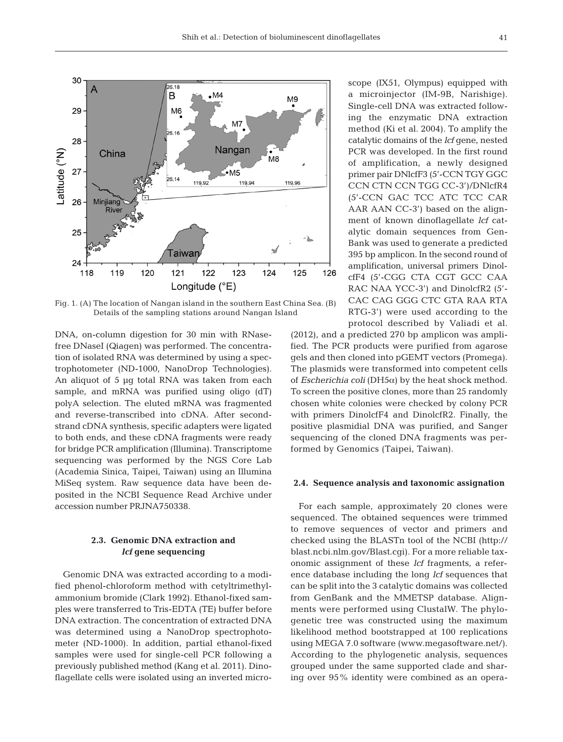

Fig. 1. (A) The location of Nangan island in the southern East China Sea. (B) Details of the sampling stations around Nangan Island

DNA, on-column digestion for 30 min with RNasefree DNaseI (Qiagen) was performed. The concentration of isolated RNA was determined by using a spectrophotometer (ND-1000, NanoDrop Technologies). An aliquot of 5 μg total RNA was taken from each sample, and mRNA was purified using oligo (dT) polyA selection. The eluted mRNA was fragmented and reverse-transcribed into cDNA. After secondstrand cDNA synthesis, specific adapters were ligated to both ends, and these cDNA fragments were ready for bridge PCR amplification (Illumina). Transcriptome sequencing was performed by the NGS Core Lab (Academia Sinica, Taipei, Taiwan) using an Illumina MiSeq system. Raw sequence data have been deposited in the NCBI Sequence Read Archive under accession number PRJNA750338.

# **2.3. Genomic DNA extraction and**  *lcf* **gene sequencing**

Genomic DNA was extracted according to a modified phenol-chloroform method with cetyltrimethylammonium bromide (Clark 1992). Ethanol-fixed samples were transferred to Tris-EDTA (TE) buffer before DNA extraction. The concentration of extracted DNA was determined using a NanoDrop spectrophotometer (ND-1000). In addition, partial ethanol-fixed samples were used for single-cell PCR following a previously published method (Kang et al. 2011). Dinoflagellate cells were isolated using an inverted microscope (IX51, Olympus) equipped with a microinjector (IM-9B, Narishige). Single-cell DNA was extracted following the enzymatic DNA extraction method (Ki et al. 2004). To amplify the catalytic domains of the *lcf* gene, nested PCR was developed. In the first round of amplification, a newly designed primer pair DNlcfF3 (5'-CCN TGY GGC CCN CTN CCN TGG CC-3')/DNlcfR4 (5'-CCN GAC TCC ATC TCC CAR AAR AAN CC-3') based on the alignment of known dinoflagellate *lcf* catalytic domain sequences from Gen-Bank was used to generate a predicted 395 bp amplicon. In the second round of amplification, universal primers DinolcfF4 (5'-CGG CTA CGT GCC CAA RAC NAA YCC-3') and DinolcfR2 (5'- CAC CAG GGG CTC GTA RAA RTA RTG-3') were used according to the protocol described by Valiadi et al.

(2012), and a predicted 270 bp amplicon was amplified. The PCR products were purified from agarose gels and then cloned into pGEMT vectors (Promega). The plasmids were transformed into competent cells of *Escherichia coli* (DH5α) by the heat shock method. To screen the positive clones, more than 25 randomly chosen white colonies were checked by colony PCR with primers DinolcfF4 and DinolcfR2. Finally, the positive plasmidial DNA was purified, and Sanger sequencing of the cloned DNA fragments was performed by Genomics (Taipei, Taiwan).

#### **2.4. Sequence analysis and taxonomic assignation**

For each sample, approximately 20 clones were sequenced. The obtained sequences were trimmed to remove sequences of vector and primers and checked using the BLASTn tool of the NCBI (http:// blast.ncbi.nlm.gov/Blast.cgi). For a more reliable taxonomic assignment of these *lcf* fragments, a reference database including the long *lcf* sequences that can be split into the 3 catalytic domains was collected from GenBank and the MMETSP database. Alignments were performed using ClustalW. The phylogenetic tree was constructed using the maximum likelihood method bootstrapped at 100 replications using MEGA 7.0 software (www.megasoftware.net/). According to the phylogenetic analysis, sequences grouped under the same supported clade and sharing over 95% identity were combined as an opera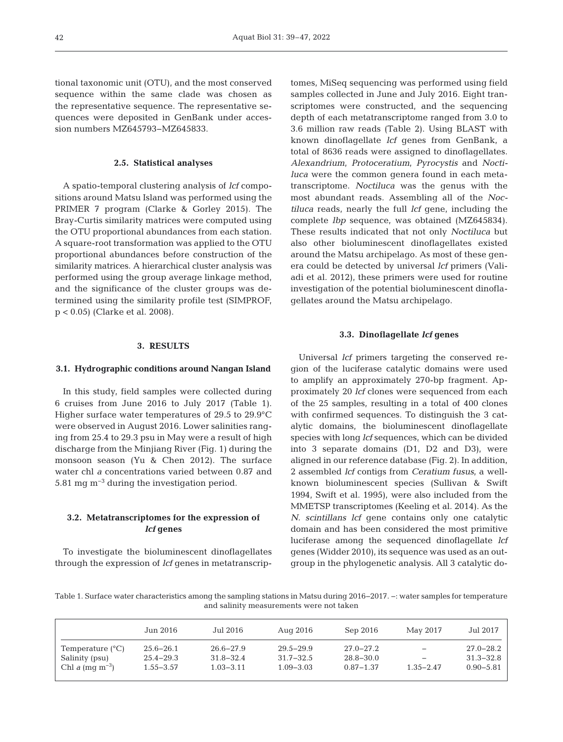tional taxonomic unit (OTU), and the most conserved sequence within the same clade was chosen as the representative sequence. The representative se quences were deposited in GenBank under accession numbers MZ645793−MZ645833.

#### **2.5. Statistical analyses**

A spatio-temporal clustering analysis of *lcf* compositions around Matsu Island was performed using the PRIMER 7 program (Clarke & Gorley 2015). The Bray-Curtis similarity matrices were computed using the OTU proportional abundances from each station. A square-root transformation was applied to the OTU proportional abundances before construction of the similarity matrices. A hierarchical cluster analysis was performed using the group average linkage method, and the significance of the cluster groups was de termined using the similarity profile test (SIMPROF, p < 0.05) (Clarke et al. 2008).

## **3. RESULTS**

## **3.1. Hydrographic conditions around Nangan Island**

In this study, field samples were collected during 6 cruises from June 2016 to July 2017 (Table 1). Higher surface water temperatures of 29.5 to 29.9°C were observed in August 2016. Lower salinities ranging from 25.4 to 29.3 psu in May were a result of high discharge from the Minjiang River (Fig. 1) during the monsoon season (Yu & Chen 2012). The surface water chl *a* concentrations varied between 0.87 and 5.81 mg m−3 during the investigation period.

## **3.2. Metatranscriptomes for the expression of**  *lcf* **genes**

To investigate the bioluminescent dinoflagellates through the expression of *lcf* genes in metatranscriptomes, MiSeq sequencing was performed using field samples collected in June and July 2016. Eight transcriptomes were constructed, and the sequencing depth of each metatranscriptome ranged from 3.0 to 3.6 million raw reads (Table 2). Using BLAST with known dinoflagellate *lcf* genes from GenBank, a total of 8636 reads were assigned to dinoflagellates. *Alexandrium*, *Protoceratium*, *Pyrocystis* and *Nocti luca* were the common genera found in each metatranscriptome. *Noctiluca* was the genus with the most abundant reads. Assembling all of the *Noctiluca* reads, nearly the full *lcf* gene, including the complete *lbp* sequence, was obtained (MZ645834). These results indicated that not only *Noctiluca* but also other bioluminescent dinoflagellates existed around the Matsu archipelago. As most of these genera could be detected by universal *lcf* primers (Vali adi et al. 2012), these primers were used for routine investigation of the potential bioluminescent dinoflagellates around the Matsu archipelago.

### **3.3. Dinoflagellate** *lcf* **genes**

Universal *lcf* primers targeting the conserved region of the luciferase catalytic domains were used to amplify an approximately 270-bp fragment. Approximately 20 *lcf* clones were sequenced from each of the 25 samples, resulting in a total of 400 clones with confirmed sequences. To distinguish the 3 catalytic domains, the bioluminescent dinoflagellate species with long *lcf* sequences, which can be divided into 3 separate domains (D1, D2 and D3), were aligned in our reference database (Fig. 2). In addition, 2 assembled *lcf* contigs from *Ceratium fusus*, a wellknown bioluminescent species (Sullivan & Swift 1994, Swift et al. 1995), were also included from the MMETSP transcriptomes (Keeling et al. 2014). As the *N. scintillans lcf* gene contains only one catalytic domain and has been considered the most primitive luciferase among the sequenced dinoflagellate *lcf* genes (Widder 2010), its sequence was used as an outgroup in the phylogenetic analysis. All 3 catalytic do-

Table 1. Surface water characteristics among the sampling stations in Matsu during 2016−2017. −: water samples for temperature and salinity measurements were not taken

|                           | Jun 2016.     | Jul 2016      | Aug 2016      | Sep 2016      | May 2017      | Jul 2017      |
|---------------------------|---------------|---------------|---------------|---------------|---------------|---------------|
| Temperature $(^{\circ}C)$ | $25.6 - 26.1$ | $26.6 - 27.9$ | $29.5 - 29.9$ | $27.0 - 27.2$ | —             | $27.0 - 28.2$ |
| Salinity (psu)            | $25.4 - 29.3$ | $31.8 - 32.4$ | $31.7 - 32.5$ | $28.8 - 30.0$ | —             | $31.3 - 32.8$ |
| Chl a $(mq m^{-3})$       | $1.55 - 3.57$ | $1.03 - 3.11$ | $1.09 - 3.03$ | $0.87 - 1.37$ | $1.35 - 2.47$ | $0.90 - 5.81$ |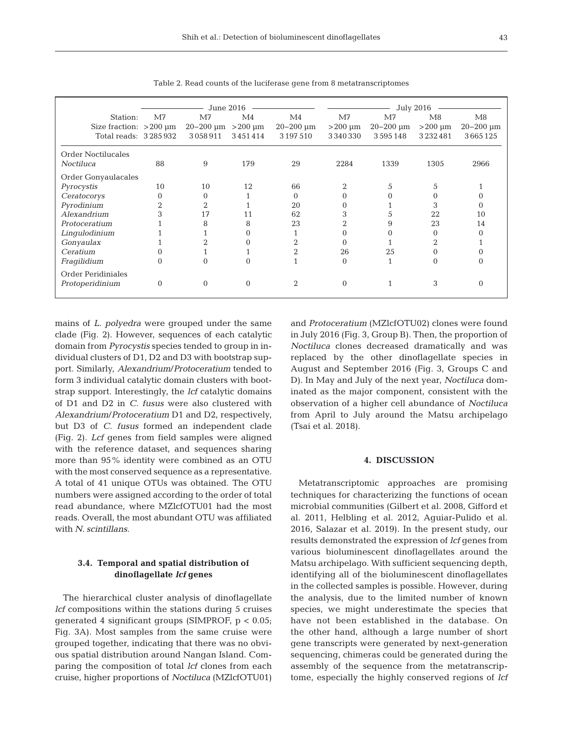|                             |          | June 2016                |                |                  | <b>July 2016</b> |               |               |                  |
|-----------------------------|----------|--------------------------|----------------|------------------|------------------|---------------|---------------|------------------|
| Station:                    | M7       | M7                       | M <sub>4</sub> | M <sub>4</sub>   | M7               | M7            | M8            | M8               |
| Size fraction: $>200 \mu m$ |          | $20 - 200$ um $> 200$ um |                | $20 - 200 \mu m$ | $>200 \mu m$     | $20 - 200$ um | $>200 \mu m$  | $20 - 200 \mu m$ |
| Total reads: 3285932        |          | 3058911                  | 3451414        | 3 197 5 10       | 3340330          | 3595148       | 3 2 3 2 4 8 1 | 3665125          |
| <b>Order Noctilucales</b>   |          |                          |                |                  |                  |               |               |                  |
| Noctiluca                   | 88       | 9                        | 179            | 29               | 2284             | 1339          | 1305          | 2966             |
| Order Gonyaulacales         |          |                          |                |                  |                  |               |               |                  |
| Pyrocystis                  | 10       | 10                       | 12             | 66               | $\overline{2}$   | 5             | 5             |                  |
| Ceratocorys                 | $\Omega$ | 0                        |                | $\Omega$         | 0                |               |               |                  |
| Pyrodinium                  | 2        | 2                        |                | 20               | 0                |               | 3             |                  |
| Alexandrium                 | 3        | 17                       | 11             | 62               | 3                | Ć.            | 22            | 10               |
| Protoceratium               |          | 8                        | 8              | 23               | 2                | 9             | 23            | 14               |
| Lingulodinium               |          |                          |                |                  |                  |               | 0             |                  |
| Gonyaulax                   |          |                          |                | 2                | 0                |               | 2             |                  |
| Ceratium                    |          |                          |                | 2                | 26               | 25            |               |                  |
| Fragilidium                 | $\theta$ | $\Omega$                 | 0              |                  | $\Omega$         |               | 0             |                  |
| Order Peridiniales          |          |                          |                |                  |                  |               |               |                  |
| Protoperidinium             | $\theta$ | $\Omega$                 | $\Omega$       | 2                | $\Omega$         |               | 3             |                  |

Table 2. Read counts of the luciferase gene from 8 metatranscriptomes

mains of *L. polyedra* were grouped under the same clade (Fig. 2). However, sequences of each catalytic domain from *Pyrocystis* species tended to group in individual clusters of D1, D2 and D3 with bootstrap support. Similarly, *Alexandrium*/*Protoceratium* tended to form 3 individual catalytic domain clusters with bootstrap support. Interestingly, the *lcf* catalytic domains of D1 and D2 in *C. fusus* were also clustered with *Alexandrium*/*Protoceratium* D1 and D2, respectively, but D3 of *C. fusus* formed an independent clade (Fig. 2). *Lcf* genes from field samples were aligned with the reference dataset, and sequences sharing more than 95% identity were combined as an OTU with the most conserved sequence as a representative. A total of 41 unique OTUs was obtained. The OTU numbers were assigned according to the order of total read abundance, where MZlcfOTU01 had the most reads. Overall, the most abundant OTU was affiliated with *N. scintillans*.

# **3.4. Temporal and spatial distribution of dinoflagellate** *lcf* **genes**

The hierarchical cluster analysis of dinoflagellate *lcf* compositions within the stations during 5 cruises generated 4 significant groups (SIMPROF, p < 0.05; Fig. 3A). Most samples from the same cruise were grouped together, indicating that there was no obvious spatial distribution around Nangan Island. Comparing the composition of total *lcf* clones from each cruise, higher proportions of *Noctiluca* (MZlcfOTU01) and *Protoceratium* (MZlcfOTU02) clones were found in July 2016 (Fig. 3, Group B). Then, the proportion of *Noctiluca* clones decreased dramatically and was replaced by the other dinoflagellate species in August and September 2016 (Fig. 3, Groups C and D). In May and July of the next year, *Noctiluca* dominated as the major component, consistent with the observation of a higher cell abundance of *Noctiluca* from April to July around the Matsu archipelago (Tsai et al. 2018).

## **4. DISCUSSION**

Metatranscriptomic approaches are promising techniques for characterizing the functions of ocean microbial communities (Gilbert et al. 2008, Gifford et al. 2011, Helbling et al. 2012, Aguiar-Pulido et al. 2016, Salazar et al. 2019). In the present study, our results demonstrated the expression of *lcf* genes from various bioluminescent dinoflagellates around the Matsu archipelago. With sufficient sequencing depth, identifying all of the bioluminescent dinoflagellates in the collected samples is possible. However, during the analysis, due to the limited number of known species, we might underestimate the species that have not been established in the database. On the other hand, although a large number of short gene transcripts were generated by next-generation sequencing, chimeras could be generated during the assembly of the sequence from the metatranscriptome, especially the highly conserved regions of *lcf*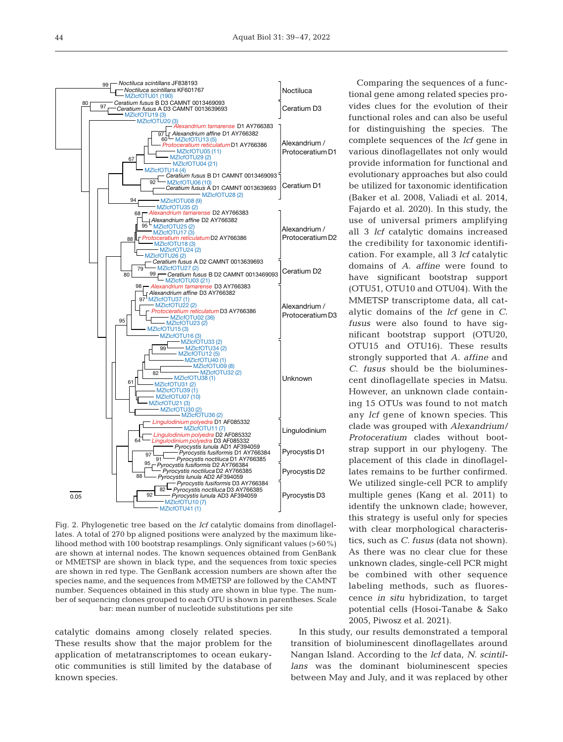

Fig. 2. Phylogenetic tree based on the *lcf* catalytic domains from dinoflagellates. A total of 270 bp aligned positions were analyzed by the maximum likelihood method with 100 bootstrap resamplings. Only significant values (>60%) are shown at internal nodes. The known sequences obtained from GenBank or MMETSP are shown in black type, and the sequences from toxic species are shown in red type. The GenBank accession numbers are shown after the species name, and the sequences from MMETSP are followed by the CAMNT number. Sequences obtained in this study are shown in blue type. The number of sequencing clones grouped to each OTU is shown in parentheses. Scale bar: mean number of nucleotide substitutions per site

catalytic domains among closely related species. These results show that the major problem for the application of metatranscriptomes to ocean eukaryotic communities is still limited by the database of known species.

Comparing the sequences of a functional gene among related species provides clues for the evolution of their functional roles and can also be useful for distinguishing the species. The complete sequences of the *lcf* gene in various dinoflagellates not only would provide information for functional and evolutionary approaches but also could be utilized for taxonomic identification (Baker et al. 2008, Valiadi et al. 2014, Fajardo et al. 2020). In this study, the use of universal primers amplifying all 3 *lcf* catalytic domains increased the credibility for taxonomic identification. For example, all 3 *lcf* catalytic domains of *A. affine* were found to have significant bootstrap support (OTU51, OTU10 and OTU04). With the MMETSP transcriptome data, all catalytic domains of the *lcf* gene in *C. fusus* were also found to have significant bootstrap support (OTU20, OTU15 and OTU16). These results strongly supported that *A. affine* and *C. fusus* should be the bioluminescent dinoflagellate species in Matsu. However, an unknown clade containing 15 OTUs was found to not match any *lcf* gene of known species. This clade was grouped with *Alexandrium/ Protoceratium* clades without bootstrap support in our phylogeny. The placement of this clade in dinoflagellates remains to be further confirmed. We utilized single-cell PCR to amplify multiple genes (Kang et al. 2011) to identify the unknown clade; however, this strategy is useful only for species with clear morphological characteristics, such as *C. fusus* (data not shown). As there was no clear clue for these unknown clades, single-cell PCR might be combined with other sequence labeling methods, such as fluorescence *in situ* hybridization, to target potential cells (Hosoi-Tanabe & Sako 2005, Piwosz et al. 2021).

In this study, our results demonstrated a temporal transition of bioluminescent dinoflagellates around Nangan Island. According to the *lcf* data, *N. scintillans* was the dominant bioluminescent species between May and July, and it was replaced by other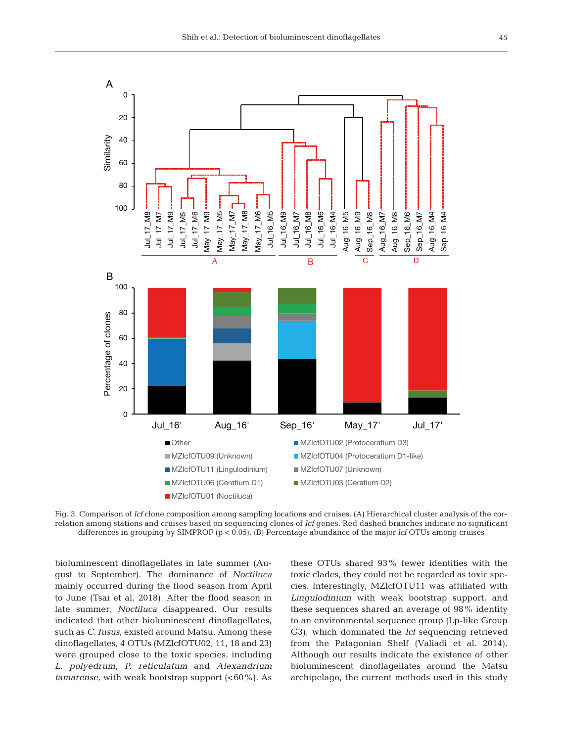

Fig. 3. Comparison of *lcf* clone composition among sampling locations and cruises. (A) Hierarchical cluster analysis of the correlation among stations and cruises based on sequencing clones of *lcf* genes. Red dashed branches indicate no significant differences in grouping by SIMPROF (p < 0.05). (B) Percentage abundance of the major *lcf* OTUs among cruises

bioluminescent dinoflagellates in late summer (August to September). The dominance of *Noctiluca* mainly occurred during the flood season from April to June (Tsai et al. 2018). After the flood season in late summer, *Noctiluca* disappeared. Our results indicated that other bioluminescent dinoflagellates, such as *C. fusus*, existed around Matsu. Among these dinoflagellates, 4 OTUs (MZlcfOTU02, 11, 18 and 23) were grouped close to the toxic species, including *L. polyedrum*, *P. reticulatum* and *Alexandrium tamarense*, with weak bootstrap support (<60%). As

these OTUs shared 93% fewer identities with the toxic clades, they could not be regarded as toxic species. Interestingly, MZlcfOTU11 was affiliated with *Lingulodinium* with weak bootstrap support, and these sequences shared an average of 98% identity to an environmental sequence group (Lp-like Group G3), which dominated the *lcf* sequencing retrieved from the Patagonian Shelf (Valiadi et al. 2014). Although our results indicate the existence of other bioluminescent dinoflagellates around the Matsu archipelago, the current methods used in this study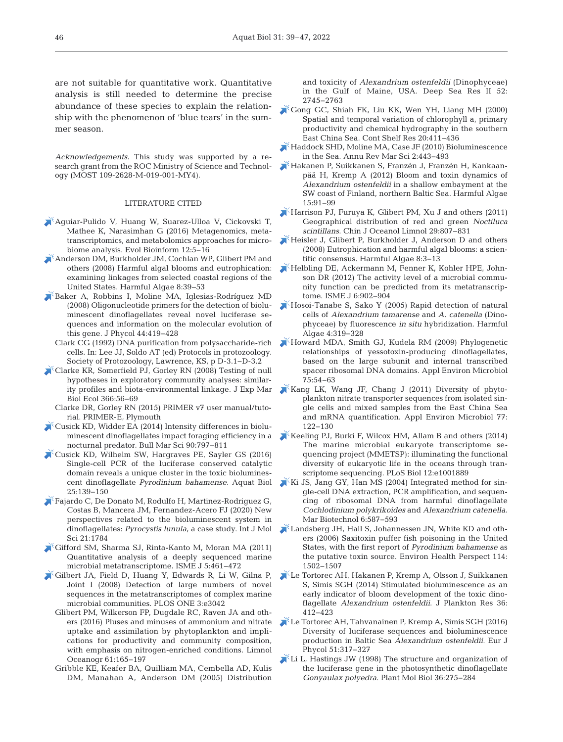are not suitable for quantitative work. Quantitative analysis is still needed to determine the precise abundance of these species to explain the relationship with the phenomenon of 'blue tears' in the summer season.

Acknowledgements. This study was supported by a research grant from the ROC Ministry of Science and Technology (MOST 109-2628-M-019-001-MY4).

## LITERATURE CITED

- [Aguiar-Pulido V, Huang W, Suarez-Ulloa V, Cickovski T,](https://pubmed.ncbi.nlm.nih.gov/27199545)  Mathee K, Narasimhan G (2016) Metagenomics, metatranscriptomics, and metabolomics approaches for microbiome analysis. Evol Bioinform 12:5−16
- [Anderson DM, Burkholder JM, Cochlan WP, Glibert PM and](https://doi.org/10.1016/j.hal.2008.08.017)  others (2008) Harmful algal blooms and eutrophication: examining linkages from selected coastal regions of the United States. Harmful Algae 8: 39−53
- [Baker A, Robbins I, Moline MA, Iglesias-Rodríguez MD](https://doi.org/10.1111/j.1529-8817.2008.00474.x)  (2008) Oligonucleotide primers for the detection of bioluminescent dinoflagellates reveal novel luciferase sequences and information on the molecular evolution of this gene. J Phycol 44: 419−428
	- Clark CG (1992) DNA purification from polysaccharide-rich cells. In:Lee JJ, Soldo AT (ed) Protocols in protozoology. Society of Protozoology, Lawrence, KS, p D-3.1−D-3.2
- [Clarke KR, Somerfield PJ, Gorley RN \(2008\) Testing of null](https://doi.org/10.1016/j.jembe.2008.07.009)  hypotheses in exploratory community analyses: similarity profiles and biota-environmental linkage. J Exp Mar Biol Ecol 366:56-69
	- Clarke DR, Gorley RN (2015) PRIMER v7 user manual/tutorial. PRIMER-E, Plymouth
- [Cusick KD, Widder EA \(2014\) Intensity differences in biolu](https://doi.org/10.5343/bms.2013.1059)minescent dinoflagellates impact foraging efficiency in a nocturnal predator. Bull Mar Sci 90: 797−811
- [Cusick KD, Wilhelm SW, Hargraves PE, Sayler GS \(2016\)](https://doi.org/10.3354/ab00664)  Single-cell PCR of the luciferase conserved catalytic domain reveals a unique cluster in the toxic bioluminescent dinoflagellate *Pyrodinium bahamense*. Aquat Biol 25: 139−150
- [Fajardo C, De Donato M, Rodulfo H, Martinez-Rodriguez G,](https://doi.org/10.3390/ijms21051784)  Costas B, Mancera JM, Fernandez-Acero FJ (2020) New perspectives related to the bioluminescent system in dinoflagellates: *Pyrocystis lunula*, a case study. Int J Mol Sci 21:1784
- [Gifford SM, Sharma SJ, Rinta-Kanto M, Moran MA \(2011\)](https://doi.org/10.1038/ismej.2010.141)  Quantitative analysis of a deeply sequenced marine microbial metatranscriptome. ISME J 5: 461−472
- [Gilbert JA, Field D, Huang Y, Edwards R, Li W, Gilna P,](https://doi.org/10.1371/journal.pone.0003042)  Joint I (2008) Detection of large numbers of novel sequences in the metatranscriptomes of complex marine microbial communities. PLOS ONE 3:e3042
	- Glibert PM, Wilkerson FP, Dugdale RC, Raven JA and others (2016) Pluses and minuses of ammonium and nitrate uptake and assimilation by phytoplankton and implications for productivity and community composition, with emphasis on nitrogen-enriched conditions. Limnol Oceanogr 61: 165−197
	- Gribble KE, Keafer BA, Quilliam MA, Cembella AD, Kulis DM, Manahan A, Anderson DM (2005) Distribution

and toxicity of *Alexandrium ostenfeldii* (Dinophyceae) in the Gulf of Maine, USA. Deep Sea Res II 52: 2745−2763

- [Gong GC, Shiah FK, Liu KK, Wen YH, Liang MH \(2000\)](https://doi.org/10.1016/S0278-4343(99)00079-5)  Spatial and temporal variation of chlorophyll a, primary productivity and chemical hydrography in the southern East China Sea. Cont Shelf Res 20: 411−436
- [Haddock SHD, Moline MA, Case JF \(2010\) Bioluminescence](https://doi.org/10.1146/annurev-marine-120308-081028)  in the Sea. Annu Rev Mar Sci 2: 443−493
- [Hakanen P, Suikkanen S, Franzén J, Franzén H, Kankaan](https://doi.org/10.1016/j.hal.2011.12.002)pää H, Kremp A (2012) Bloom and toxin dynamics of *Alexandrium ostenfeldii* in a shallow embayment at the SW coast of Finland, northern Baltic Sea. Harmful Algae 15: 91−99
- $\mathbb K$ Harrison PJ, Furuya K, Glibert PM, Xu J and others (2011) Geographical distribution of red and green *Noctiluca scintillans*. Chin J Oceanol Limnol 29: 807−831
- [Heisler J, Glibert P, Burkholder J, Anderson D and others](https://doi.org/10.1016/j.hal.2008.08.006)  (2008) Eutrophication and harmful algal blooms: a scientific consensus. Harmful Algae 8:3-13
- [Helbling DE, Ackermann M, Fenner K, Kohler HPE, John](https://doi.org/10.1038/ismej.2011.158)son DR (2012) The activity level of a microbial community function can be predicted from its metatranscriptome. ISME J 6:902-904
- [Hosoi-Tanabe S, Sako Y \(2005\) Rapid detection of natural](https://doi.org/10.1016/j.hal.2004.04.002)  cells of *Alexandrium tamarense* and *A. catenella* (Dinophyceae) by fluorescence *in situ* hybridization. Harmful Algae 4: 319−328
- [Howard MDA, Smith GJ, Kudela RM \(2009\) Phylogenetic](https://doi.org/10.1128/AEM.00818-08)  relationships of yessotoxin-producing dinoflagellates, based on the large subunit and internal transcribed spacer ribosomal DNA domains. Appl Environ Microbiol 75: 54−63
- Kang LK, Wang JF, Chang J (2011) Diversity of phytoplankton nitrate transporter sequences from isolated single cells and mixed samples from the East China Sea and mRNA quantification. Appl Environ Microbiol 77: 122−130
- [Keeling PJ, Burki F, Wilcox HM, Allam B and others \(2014\)](https://doi.org/10.1371/journal.pbio.1001889)  The marine microbial eukaryote transcriptome sequencing project (MMETSP): illuminating the functional diversity of eukaryotic life in the oceans through transcriptome sequencing. PLoS Biol 12:e1001889
- [Ki JS, Jang GY, Han MS \(2004\) Integrated method for sin](https://doi.org/10.1007/s10126-004-1700-x)gle-cell DNA extraction, PCR amplification, and sequencing of ribosomal DNA from harmful dinoflagellate *Cochlodinium polykrikoides* and *Alexandrium catenella*. Mar Biotechnol 6:587-593
- [Landsberg JH, Hall S, Johannessen JN, White KD and oth](https://doi.org/10.1289/ehp.8998)ers (2006) Saxitoxin puffer fish poisoning in the United States, with the first report of *Pyrodinium bahamense* as the putative toxin source. Environ Health Perspect 114: 1502−1507
- [Le Tortorec AH, Hakanen P, Kremp A, Olsson J, Suikkanen](https://doi.org/10.1093/plankt/fbt116)  S, Simis SGH (2014) Stimulated bioluminescence as an early indicator of bloom development of the toxic dinoflagellate *Alexandrium ostenfeldii*. J Plankton Res 36: 412−423
- [Le Tortorec AH, Tahvanainen P, Kremp A, Simis SGH \(2016\)](https://doi.org/10.1080/09670262.2016.1160441)  Diversity of luciferase sequences and bioluminescence production in Baltic Sea *Alexandrium ostenfeldii*. Eur J Phycol 51:317-327
- [Li L, Hastings JW \(1998\) The structure and organization of](https://doi.org/10.1023/A%3A1005941421474)  the luciferase gene in the photosynthetic dinoflagellate *Gonyaulax polyedra*. Plant Mol Biol 36: 275−284